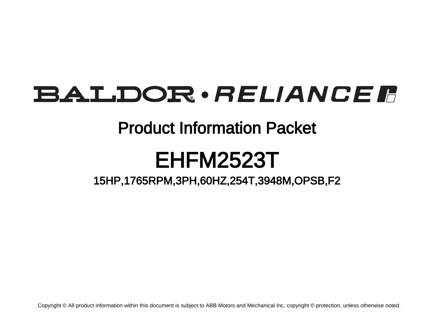# **BALDOR** · RELIANCE F

## Product Information Packet

# EHFM2523T

15HP,1765RPM,3PH,60HZ,254T,3948M,OPSB,F2

Copyright © All product information within this document is subject to ABB Motors and Mechanical Inc. copyright © protection, unless otherwise noted.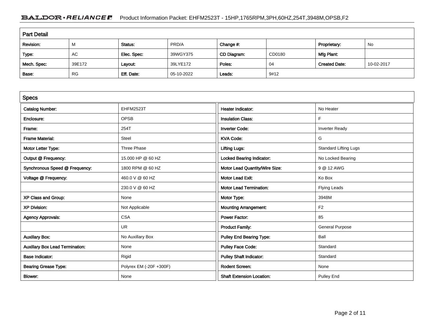### BALDOR · RELIANCE F Product Information Packet: EHFM2523T - 15HP,1765RPM,3PH,60HZ,254T,3948M,OPSB,F2

| <b>Part Detail</b> |           |             |            |             |        |                      |            |  |  |
|--------------------|-----------|-------------|------------|-------------|--------|----------------------|------------|--|--|
| Revision:          | M         | Status:     | PRD/A      | Change #:   |        | Proprietary:         | No         |  |  |
| Type:              | AC        | Elec. Spec: | 39WGY375   | CD Diagram: | CD0180 | Mfg Plant:           |            |  |  |
| Mech. Spec:        | 39E172    | Layout:     | 39LYE172   | Poles:      | 04     | <b>Created Date:</b> | 10-02-2017 |  |  |
| Base:              | <b>RG</b> | Eff. Date:  | 05-10-2022 | Leads:      | 9#12   |                      |            |  |  |

| <b>Specs</b>                           |                         |                                  |                              |
|----------------------------------------|-------------------------|----------------------------------|------------------------------|
| <b>Catalog Number:</b>                 | EHFM2523T               | <b>Heater Indicator:</b>         | No Heater                    |
| Enclosure:                             | <b>OPSB</b>             | <b>Insulation Class:</b>         | F                            |
| Frame:                                 | 254T                    | <b>Inverter Code:</b>            | <b>Inverter Ready</b>        |
| <b>Frame Material:</b>                 | Steel                   | <b>KVA Code:</b>                 | G                            |
| Motor Letter Type:                     | Three Phase             | <b>Lifting Lugs:</b>             | <b>Standard Lifting Lugs</b> |
| Output @ Frequency:                    | 15.000 HP @ 60 HZ       | <b>Locked Bearing Indicator:</b> | No Locked Bearing            |
| Synchronous Speed @ Frequency:         | 1800 RPM @ 60 HZ        | Motor Lead Quantity/Wire Size:   | 9 @ 12 AWG                   |
| Voltage @ Frequency:                   | 460.0 V @ 60 HZ         | <b>Motor Lead Exit:</b>          | Ko Box                       |
|                                        | 230.0 V @ 60 HZ         | <b>Motor Lead Termination:</b>   | <b>Flying Leads</b>          |
| XP Class and Group:                    | None                    | Motor Type:                      | 3948M                        |
| <b>XP Division:</b>                    | Not Applicable          | <b>Mounting Arrangement:</b>     | F <sub>2</sub>               |
| <b>Agency Approvals:</b>               | <b>CSA</b>              | <b>Power Factor:</b>             | 85                           |
|                                        | UR                      | <b>Product Family:</b>           | <b>General Purpose</b>       |
| <b>Auxillary Box:</b>                  | No Auxillary Box        | <b>Pulley End Bearing Type:</b>  | Ball                         |
| <b>Auxillary Box Lead Termination:</b> | None                    | <b>Pulley Face Code:</b>         | Standard                     |
| <b>Base Indicator:</b>                 | Rigid                   | <b>Pulley Shaft Indicator:</b>   | Standard                     |
| <b>Bearing Grease Type:</b>            | Polyrex EM (-20F +300F) | <b>Rodent Screen:</b>            | None                         |
| <b>Blower:</b>                         | None                    | <b>Shaft Extension Location:</b> | <b>Pulley End</b>            |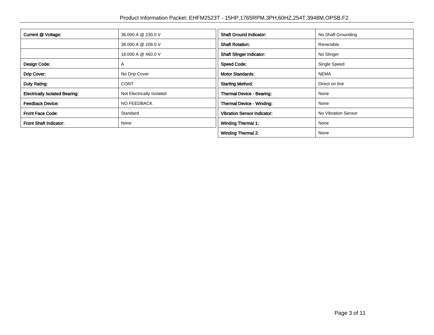| Current @ Voltage:<br>36.000 A @ 230.0 V |                           | <b>Shaft Ground Indicator:</b>     | No Shaft Grounding  |
|------------------------------------------|---------------------------|------------------------------------|---------------------|
|                                          | 38,000 A @ 208.0 V        | <b>Shaft Rotation:</b>             | Reversible          |
|                                          | 18.000 A @ 460.0 V        | <b>Shaft Slinger Indicator:</b>    | No Slinger          |
| Design Code:                             | A                         | <b>Speed Code:</b>                 | Single Speed        |
| Drip Cover:                              | No Drip Cover             | <b>Motor Standards:</b>            | <b>NEMA</b>         |
| Duty Rating:                             | <b>CONT</b>               | <b>Starting Method:</b>            | Direct on line      |
| <b>Electrically Isolated Bearing:</b>    | Not Electrically Isolated | Thermal Device - Bearing:          | None                |
| <b>Feedback Device:</b>                  | NO FEEDBACK               | <b>Thermal Device - Winding:</b>   | None                |
| <b>Front Face Code:</b>                  | Standard                  | <b>Vibration Sensor Indicator:</b> | No Vibration Sensor |
| <b>Front Shaft Indicator:</b>            | None                      | <b>Winding Thermal 1:</b>          | None                |
|                                          |                           | <b>Winding Thermal 2:</b>          | None                |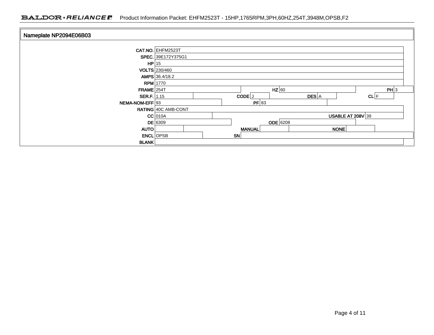### BALDOR · RELIANCE F Product Information Packet: EHFM2523T - 15HP,1765RPM,3PH,60HZ,254T,3948M,OPSB,F2

| Nameplate NP2094E06B03 |                     |           |               |              |                     |      |  |
|------------------------|---------------------|-----------|---------------|--------------|---------------------|------|--|
|                        | CAT.NO. EHFM2523T   |           |               |              |                     |      |  |
|                        | SPEC. 39E172Y375G1  |           |               |              |                     |      |  |
| $HP$ 15                |                     |           |               |              |                     |      |  |
|                        | VOLTS 230/460       |           |               |              |                     |      |  |
|                        | AMPS 36.4/18.2      |           |               |              |                     |      |  |
|                        | <b>RPM</b> 1770     |           |               |              |                     |      |  |
| $FRAME$ 254T           |                     |           | $HZ$ 60       |              |                     | PH 3 |  |
| SER.F. 1.15            |                     | CODE J    |               | <b>DES</b> A | $CL$ $F$            |      |  |
| NEMA-NOM-EFF 93        |                     |           | PF 83         |              |                     |      |  |
|                        | RATING 40C AMB-CONT |           |               |              |                     |      |  |
|                        | $CC$ 010A           |           |               |              | USABLE AT $208V$ 39 |      |  |
|                        | <b>DE</b> 6309      |           | $ODE$ 6208    |              |                     |      |  |
| AUTO                   |                     |           | <b>MANUAL</b> |              | NONE                |      |  |
|                        | <b>ENCL</b> OPSB    | <b>SN</b> |               |              |                     |      |  |
| <b>BLANK</b>           |                     |           |               |              |                     |      |  |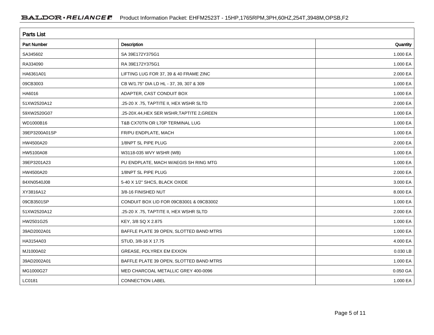| <b>Parts List</b>  |                                            |          |  |  |  |  |
|--------------------|--------------------------------------------|----------|--|--|--|--|
| <b>Part Number</b> | Description                                | Quantity |  |  |  |  |
| SA345602           | SA 39E172Y375G1                            | 1.000 EA |  |  |  |  |
| RA334090           | RA 39E172Y375G1                            | 1.000 EA |  |  |  |  |
| HA6361A01          | LIFTING LUG FOR 37, 39 & 40 FRAME ZINC     | 2.000 EA |  |  |  |  |
| 09CB3003           | CB W/1.75" DIA LD HL - 37, 39, 307 & 309   | 1.000 EA |  |  |  |  |
| HA6016             | ADAPTER, CAST CONDUIT BOX                  | 1.000 EA |  |  |  |  |
| 51XW2520A12        | .25-20 X .75, TAPTITE II, HEX WSHR SLTD    | 2.000 EA |  |  |  |  |
| 59XW2520G07        | .25-20X.44, HEX SER WSHR, TAPTITE 2, GREEN | 1.000 EA |  |  |  |  |
| WD1000B16          | T&B CX70TN OR L70P TERMINAL LUG            | 1.000 EA |  |  |  |  |
| 39EP3200A01SP      | FR/PU ENDPLATE, MACH                       | 1.000 EA |  |  |  |  |
| HW4500A20          | 1/8NPT SL PIPE PLUG                        | 2.000 EA |  |  |  |  |
| HW5100A08          | W3118-035 WVY WSHR (WB)                    | 1.000 EA |  |  |  |  |
| 39EP3201A23        | PU ENDPLATE, MACH W/AEGIS SH RING MTG      | 1.000 EA |  |  |  |  |
| HW4500A20          | 1/8NPT SL PIPE PLUG                        | 2.000 EA |  |  |  |  |
| 84XN0540J08        | 5-40 X 1/2" SHCS, BLACK OXIDE              | 3.000 EA |  |  |  |  |
| XY3816A12          | 3/8-16 FINISHED NUT                        | 8.000 EA |  |  |  |  |
| 09CB3501SP         | CONDUIT BOX LID FOR 09CB3001 & 09CB3002    | 1.000 EA |  |  |  |  |
| 51XW2520A12        | .25-20 X .75, TAPTITE II, HEX WSHR SLTD    | 2.000 EA |  |  |  |  |
| HW2501G25          | KEY, 3/8 SQ X 2.875                        | 1.000 EA |  |  |  |  |
| 39AD2002A01        | BAFFLE PLATE 39 OPEN, SLOTTED BAND MTRS    | 1.000 EA |  |  |  |  |
| HA3154A03          | STUD, 3/8-16 X 17.75                       | 4.000 EA |  |  |  |  |
| MJ1000A02          | GREASE, POLYREX EM EXXON                   | 0.030 LB |  |  |  |  |
| 39AD2002A01        | BAFFLE PLATE 39 OPEN, SLOTTED BAND MTRS    | 1.000 EA |  |  |  |  |
| MG1000G27          | MED CHARCOAL METALLIC GREY 400-0096        | 0.050 GA |  |  |  |  |
| LC0181             | <b>CONNECTION LABEL</b>                    | 1.000 EA |  |  |  |  |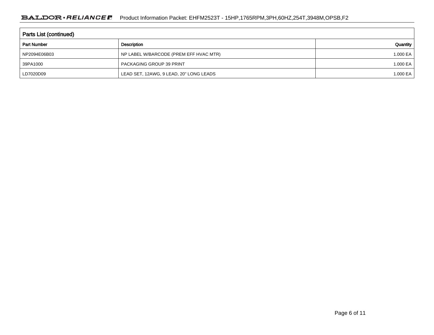| Parts List (continued) |                                         |          |  |  |  |  |
|------------------------|-----------------------------------------|----------|--|--|--|--|
| <b>Part Number</b>     | Description                             | Quantity |  |  |  |  |
| NP2094E06B03           | NP LABEL W/BARCODE (PREM EFF HVAC MTR)  | 1.000 EA |  |  |  |  |
| 39PA1000               | <b>PACKAGING GROUP 39 PRINT</b>         | 1.000 EA |  |  |  |  |
| LD7020D09              | LEAD SET, 12AWG, 9 LEAD, 20" LONG LEADS | 1.000 EA |  |  |  |  |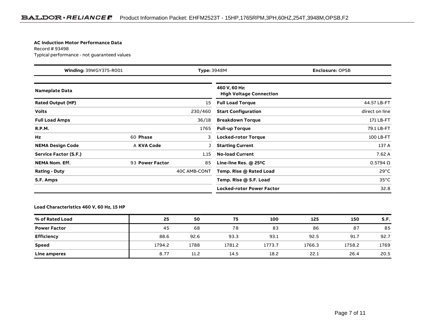#### **AC Induction Motor Performance Data**

Record # 93498Typical performance - not guaranteed values

| <b>Winding: 39WGY375-R001</b><br><b>Type: 3948M</b> |                 |              | <b>Enclosure: OPSB</b>                          |                   |  |
|-----------------------------------------------------|-----------------|--------------|-------------------------------------------------|-------------------|--|
| <b>Nameplate Data</b>                               |                 |              | 460 V, 60 Hz:<br><b>High Voltage Connection</b> |                   |  |
| <b>Rated Output (HP)</b>                            |                 | 15           | <b>Full Load Torque</b>                         | 44.57 LB-FT       |  |
| <b>Volts</b>                                        |                 | 230/460      | <b>Start Configuration</b>                      | direct on line    |  |
| <b>Full Load Amps</b>                               |                 | 36/18        | <b>Breakdown Torque</b>                         | 171 LB-FT         |  |
| <b>R.P.M.</b>                                       |                 | 1765         | <b>Pull-up Torque</b>                           | 79.1 LB-FT        |  |
| Hz                                                  | 60 Phase        | 3            | <b>Locked-rotor Torque</b>                      | 100 LB-FT         |  |
| <b>NEMA Design Code</b>                             | A KVA Code      |              | <b>Starting Current</b>                         | 137 A             |  |
| <b>Service Factor (S.F.)</b>                        |                 | 1.15         | <b>No-load Current</b>                          | 7.62 A            |  |
| <b>NEMA Nom. Eff.</b>                               | 93 Power Factor | 85           | Line-line Res. @ 25 $^{\circ}$ C                | $0.5794$ $\Omega$ |  |
| <b>Rating - Duty</b>                                |                 | 40C AMB-CONT | Temp. Rise @ Rated Load                         | $29^{\circ}$ C    |  |
| S.F. Amps                                           |                 |              | Temp. Rise @ S.F. Load                          | $35^{\circ}$ C    |  |
|                                                     |                 |              | <b>Locked-rotor Power Factor</b>                | 32.8              |  |

#### **Load Characteristics 460 V, 60 Hz, 15 HP**

| % of Rated Load     | 25     | 50   | 75     | 100    | 125    | 150    | S.F. |
|---------------------|--------|------|--------|--------|--------|--------|------|
| <b>Power Factor</b> | 45     | 68   | 78     | 83     | 86     | 87     | 85   |
| <b>Efficiency</b>   | 88.6   | 92.6 | 93.3   | 93.1   | 92.5   | 91.7   | 92.7 |
| <b>Speed</b>        | 1794.2 | 1788 | 1781.2 | 1773.7 | 1766.3 | 1758.2 | 1769 |
| Line amperes        | 8.77   | 11.2 | 14.5   | 18.2   | 22.1   | 26.4   | 20.5 |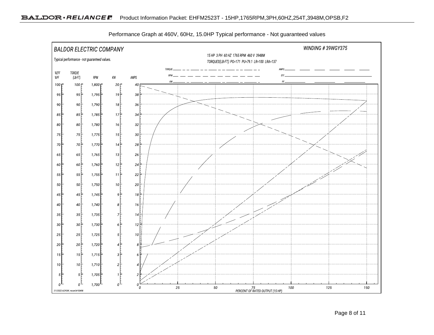

Performance Graph at 460V, 60Hz, 15.0HP Typical performance - Not guaranteed values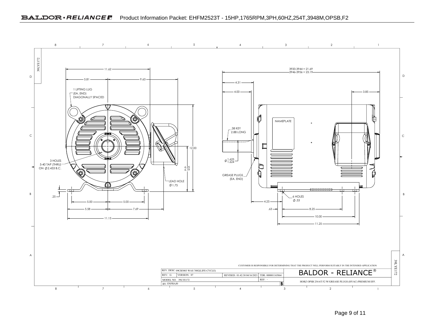

Page 9 of 11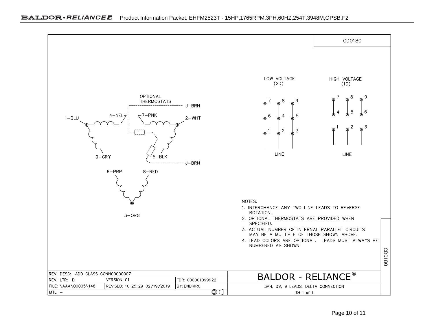